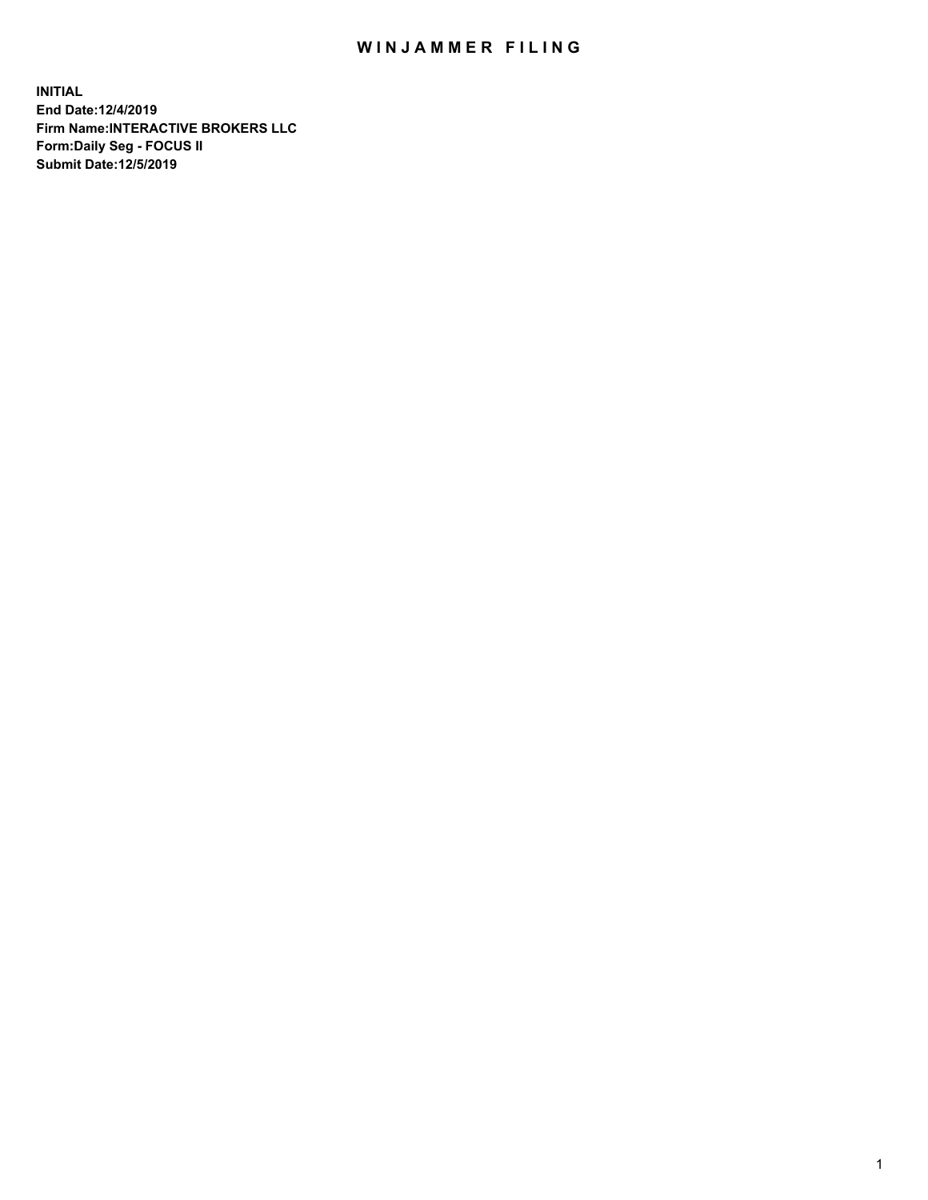## WIN JAMMER FILING

**INITIAL End Date:12/4/2019 Firm Name:INTERACTIVE BROKERS LLC Form:Daily Seg - FOCUS II Submit Date:12/5/2019**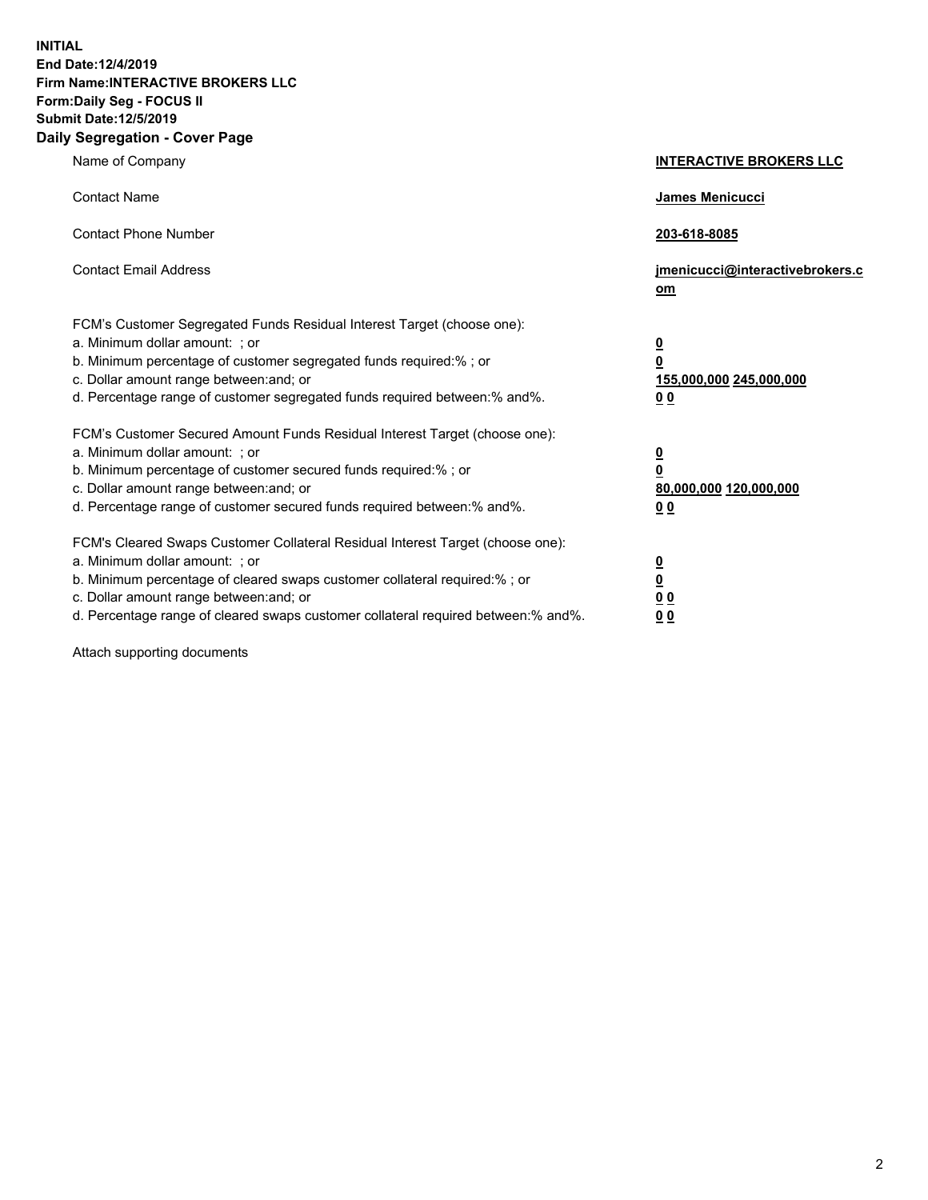**INITIAL End Date:12/4/2019 Firm Name:INTERACTIVE BROKERS LLC Form:Daily Seg - FOCUS II Submit Date:12/5/2019 Daily Segregation - Cover Page**

| Name of Company                                                                                                                                                                                                                                                                                                                | <b>INTERACTIVE BROKERS LLC</b>                                                                  |
|--------------------------------------------------------------------------------------------------------------------------------------------------------------------------------------------------------------------------------------------------------------------------------------------------------------------------------|-------------------------------------------------------------------------------------------------|
| <b>Contact Name</b>                                                                                                                                                                                                                                                                                                            | James Menicucci                                                                                 |
| <b>Contact Phone Number</b>                                                                                                                                                                                                                                                                                                    | 203-618-8085                                                                                    |
| <b>Contact Email Address</b>                                                                                                                                                                                                                                                                                                   | jmenicucci@interactivebrokers.c<br>om                                                           |
| FCM's Customer Segregated Funds Residual Interest Target (choose one):<br>a. Minimum dollar amount: ; or<br>b. Minimum percentage of customer segregated funds required:% ; or<br>c. Dollar amount range between: and; or<br>d. Percentage range of customer segregated funds required between:% and%.                         | $\overline{\mathbf{0}}$<br>$\overline{\mathbf{0}}$<br>155,000,000 245,000,000<br>0 <sub>0</sub> |
| FCM's Customer Secured Amount Funds Residual Interest Target (choose one):<br>a. Minimum dollar amount: ; or<br>b. Minimum percentage of customer secured funds required:% ; or<br>c. Dollar amount range between: and; or<br>d. Percentage range of customer secured funds required between:% and%.                           | $\overline{\mathbf{0}}$<br>0<br>80,000,000 120,000,000<br>0 <sub>0</sub>                        |
| FCM's Cleared Swaps Customer Collateral Residual Interest Target (choose one):<br>a. Minimum dollar amount: ; or<br>b. Minimum percentage of cleared swaps customer collateral required:% ; or<br>c. Dollar amount range between: and; or<br>d. Percentage range of cleared swaps customer collateral required between:% and%. | $\overline{\mathbf{0}}$<br><u>0</u><br>$\underline{0}$ $\underline{0}$<br>00                    |

Attach supporting documents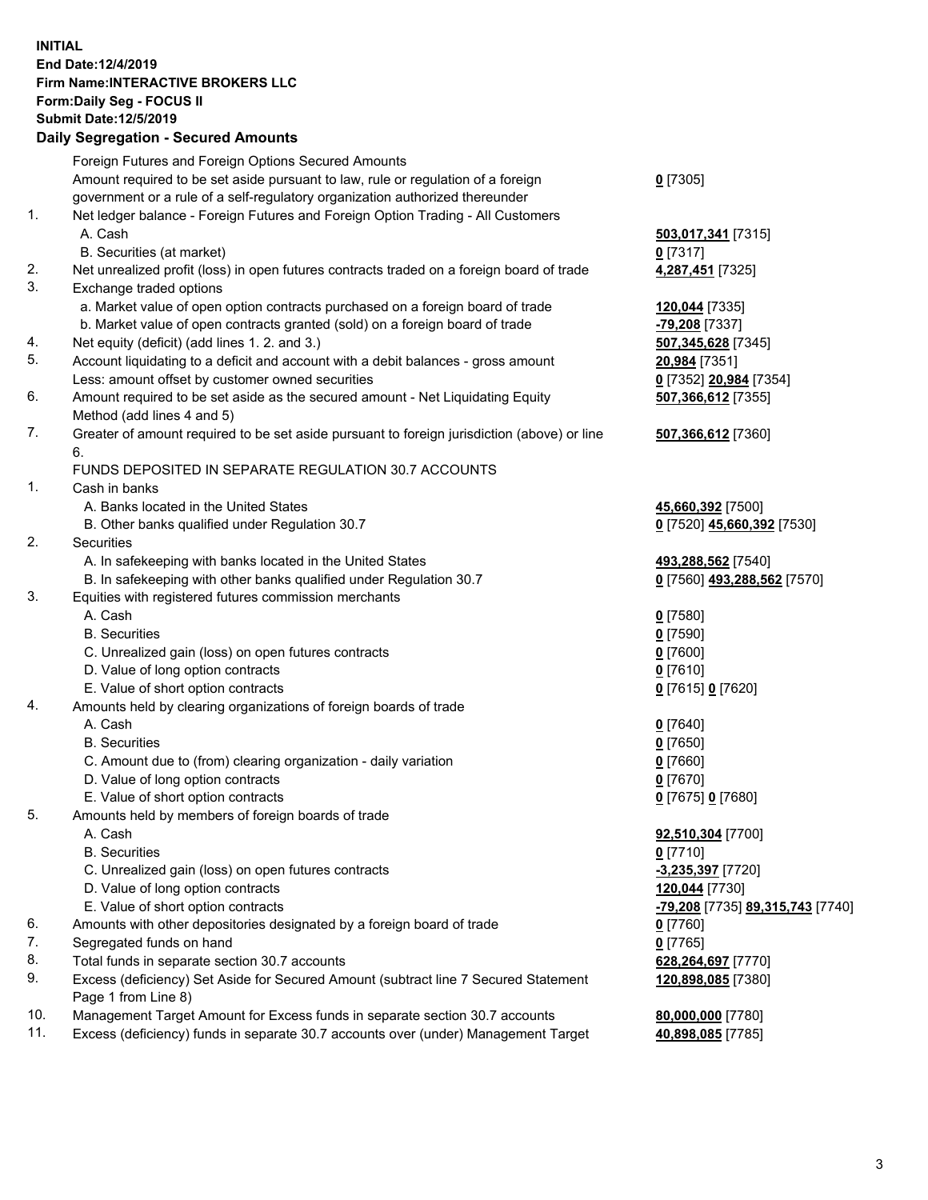## **INITIAL End Date:12/4/2019 Firm Name:INTERACTIVE BROKERS LLC Form:Daily Seg - FOCUS II Submit Date:12/5/2019**

|     | Subinit Date: 2/5/2019<br><b>Daily Segregation - Secured Amounts</b>                        |                                  |
|-----|---------------------------------------------------------------------------------------------|----------------------------------|
|     | Foreign Futures and Foreign Options Secured Amounts                                         |                                  |
|     | Amount required to be set aside pursuant to law, rule or regulation of a foreign            | $0$ [7305]                       |
|     | government or a rule of a self-regulatory organization authorized thereunder                |                                  |
| 1.  | Net ledger balance - Foreign Futures and Foreign Option Trading - All Customers             |                                  |
|     | A. Cash                                                                                     | 503,017,341 [7315]               |
|     | B. Securities (at market)                                                                   | $0$ [7317]                       |
| 2.  | Net unrealized profit (loss) in open futures contracts traded on a foreign board of trade   | 4,287,451 [7325]                 |
| 3.  | Exchange traded options                                                                     |                                  |
|     | a. Market value of open option contracts purchased on a foreign board of trade              | 120,044 [7335]                   |
|     | b. Market value of open contracts granted (sold) on a foreign board of trade                | -79,208 [7337]                   |
| 4.  | Net equity (deficit) (add lines 1. 2. and 3.)                                               | 507,345,628 [7345]               |
| 5.  | Account liquidating to a deficit and account with a debit balances - gross amount           | 20,984 [7351]                    |
|     | Less: amount offset by customer owned securities                                            | 0 [7352] 20,984 [7354]           |
| 6.  | Amount required to be set aside as the secured amount - Net Liquidating Equity              | 507,366,612 [7355]               |
|     | Method (add lines 4 and 5)                                                                  |                                  |
| 7.  | Greater of amount required to be set aside pursuant to foreign jurisdiction (above) or line | 507,366,612 [7360]               |
|     | 6.                                                                                          |                                  |
|     | FUNDS DEPOSITED IN SEPARATE REGULATION 30.7 ACCOUNTS                                        |                                  |
| 1.  | Cash in banks                                                                               |                                  |
|     | A. Banks located in the United States                                                       | 45,660,392 [7500]                |
|     | B. Other banks qualified under Regulation 30.7                                              | 0 [7520] 45,660,392 [7530]       |
| 2.  | Securities                                                                                  |                                  |
|     | A. In safekeeping with banks located in the United States                                   | 493,288,562 [7540]               |
|     | B. In safekeeping with other banks qualified under Regulation 30.7                          | 0 [7560] 493,288,562 [7570]      |
| 3.  | Equities with registered futures commission merchants                                       |                                  |
|     | A. Cash                                                                                     | $0$ [7580]                       |
|     | <b>B.</b> Securities                                                                        | $0$ [7590]                       |
|     | C. Unrealized gain (loss) on open futures contracts                                         | $0$ [7600]                       |
|     | D. Value of long option contracts                                                           | $0$ [7610]                       |
|     | E. Value of short option contracts                                                          | 0 [7615] 0 [7620]                |
| 4.  | Amounts held by clearing organizations of foreign boards of trade                           |                                  |
|     | A. Cash                                                                                     | $0$ [7640]                       |
|     | <b>B.</b> Securities                                                                        | $0$ [7650]                       |
|     | C. Amount due to (from) clearing organization - daily variation                             | $0$ [7660]                       |
|     | D. Value of long option contracts                                                           | $0$ [7670]                       |
|     | E. Value of short option contracts                                                          | 0 [7675] 0 [7680]                |
| 5.  | Amounts held by members of foreign boards of trade                                          |                                  |
|     | A. Cash                                                                                     | 92,510,304 [7700]                |
|     | <b>B.</b> Securities                                                                        | $0$ [7710]                       |
|     | C. Unrealized gain (loss) on open futures contracts                                         | -3,235,397 [7720]                |
|     | D. Value of long option contracts                                                           | 120,044 [7730]                   |
|     | E. Value of short option contracts                                                          | -79,208 [7735] 89,315,743 [7740] |
| 6.  | Amounts with other depositories designated by a foreign board of trade                      | $0$ [7760]                       |
| 7.  | Segregated funds on hand                                                                    | $0$ [7765]                       |
| 8.  | Total funds in separate section 30.7 accounts                                               | 628,264,697 [7770]               |
| 9.  | Excess (deficiency) Set Aside for Secured Amount (subtract line 7 Secured Statement         | 120,898,085 [7380]               |
|     | Page 1 from Line 8)                                                                         |                                  |
| 10. | Management Target Amount for Excess funds in separate section 30.7 accounts                 | 80,000,000 [7780]                |
| 11. | Excess (deficiency) funds in separate 30.7 accounts over (under) Management Target          | 40,898,085 [7785]                |
|     |                                                                                             |                                  |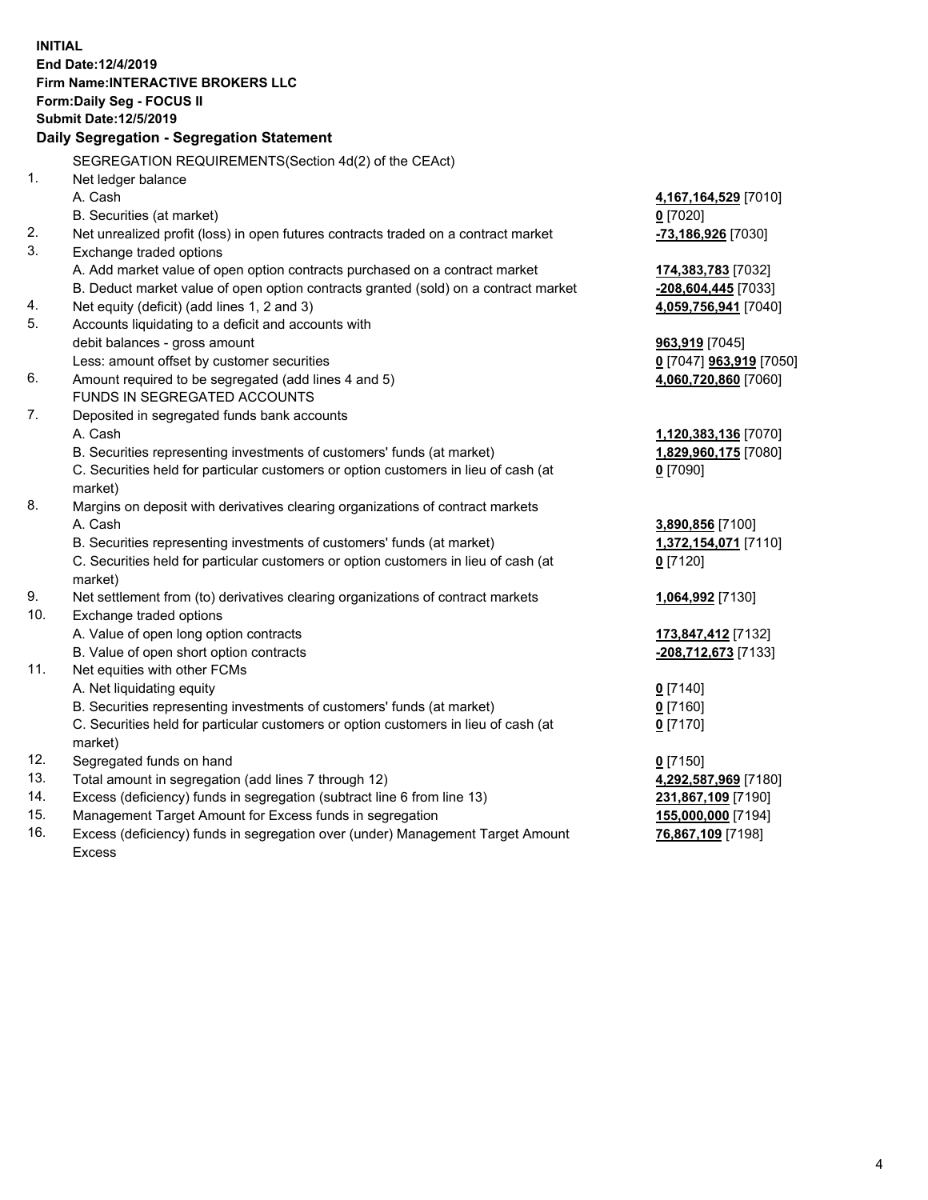**INITIAL End Date:12/4/2019 Firm Name:INTERACTIVE BROKERS LLC Form:Daily Seg - FOCUS II Submit Date:12/5/2019 Daily Segregation - Segregation Statement** SEGREGATION REQUIREMENTS(Section 4d(2) of the CEAct) 1. Net ledger balance A. Cash **4,167,164,529** [7010] B. Securities (at market) **0** [7020] 2. Net unrealized profit (loss) in open futures contracts traded on a contract market **-73,186,926** [7030] 3. Exchange traded options A. Add market value of open option contracts purchased on a contract market **174,383,783** [7032] B. Deduct market value of open option contracts granted (sold) on a contract market **-208,604,445** [7033] 4. Net equity (deficit) (add lines 1, 2 and 3) **4,059,756,941** [7040] 5. Accounts liquidating to a deficit and accounts with debit balances - gross amount **963,919** [7045] Less: amount offset by customer securities **0** [7047] **963,919** [7050] 6. Amount required to be segregated (add lines 4 and 5) **4,060,720,860** [7060] FUNDS IN SEGREGATED ACCOUNTS 7. Deposited in segregated funds bank accounts A. Cash **1,120,383,136** [7070] B. Securities representing investments of customers' funds (at market) **1,829,960,175** [7080] C. Securities held for particular customers or option customers in lieu of cash (at market) **0** [7090] 8. Margins on deposit with derivatives clearing organizations of contract markets A. Cash **3,890,856** [7100] B. Securities representing investments of customers' funds (at market) **1,372,154,071** [7110] C. Securities held for particular customers or option customers in lieu of cash (at market) **0** [7120] 9. Net settlement from (to) derivatives clearing organizations of contract markets **1,064,992** [7130] 10. Exchange traded options A. Value of open long option contracts **173,847,412** [7132] B. Value of open short option contracts **-208,712,673** [7133] 11. Net equities with other FCMs A. Net liquidating equity **0** [7140] B. Securities representing investments of customers' funds (at market) **0** [7160] C. Securities held for particular customers or option customers in lieu of cash (at market) **0** [7170] 12. Segregated funds on hand **0** [7150] 13. Total amount in segregation (add lines 7 through 12) **4,292,587,969** [7180] 14. Excess (deficiency) funds in segregation (subtract line 6 from line 13) **231,867,109** [7190] 15. Management Target Amount for Excess funds in segregation **155,000,000** [7194]

16. Excess (deficiency) funds in segregation over (under) Management Target Amount Excess

**76,867,109** [7198]